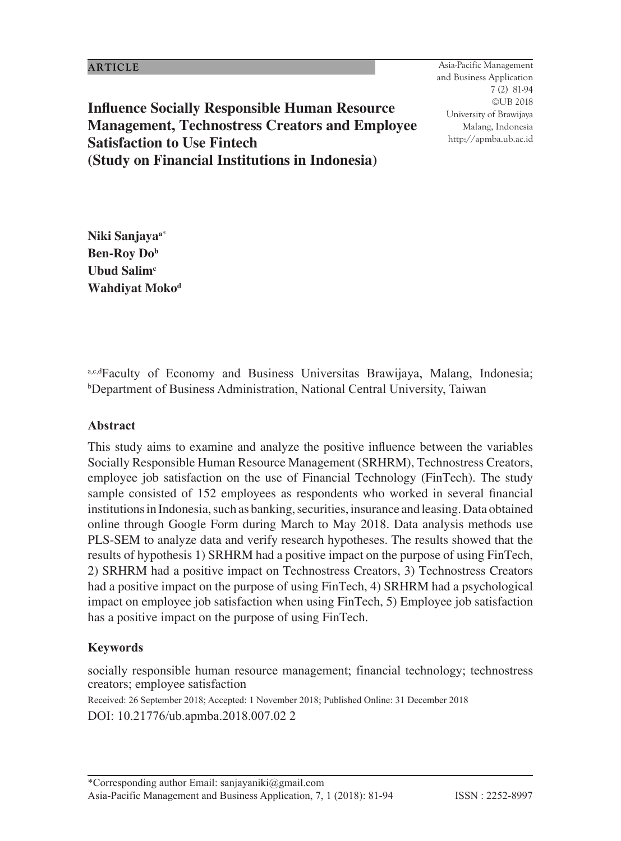81 Asia-Pacific Management and Business Application 7 (2) 81-94 ©UB 2018 University of Brawijaya Malang, Indonesia http://apmba.ub.ac.id

**Influence Socially Responsible Human Resource Management, Technostress Creators and Employee Satisfaction to Use Fintech (Study on Financial Institutions in Indonesia)**

**Niki Sanjayaa\* Ben-Roy Dob**  Ubud Salim<sup>c</sup> **Wahdiyat Moko<sup>d</sup>**

a,c,dFaculty of Economy and Business Universitas Brawijaya, Malang, Indonesia; b Department of Business Administration, National Central University, Taiwan

#### **Abstract**

This study aims to examine and analyze the positive influence between the variables Socially Responsible Human Resource Management (SRHRM), Technostress Creators, employee job satisfaction on the use of Financial Technology (FinTech). The study sample consisted of 152 employees as respondents who worked in several financial institutions in Indonesia, such as banking, securities, insurance and leasing. Data obtained online through Google Form during March to May 2018. Data analysis methods use PLS-SEM to analyze data and verify research hypotheses. The results showed that the results of hypothesis 1) SRHRM had a positive impact on the purpose of using FinTech, 2) SRHRM had a positive impact on Technostress Creators, 3) Technostress Creators had a positive impact on the purpose of using FinTech, 4) SRHRM had a psychological impact on employee job satisfaction when using FinTech, 5) Employee job satisfaction has a positive impact on the purpose of using FinTech.

### **Keywords**

socially responsible human resource management; financial technology; technostress creators; employee satisfaction

Received: 26 September 2018; Accepted: 1 November 2018; Published Online: 31 December 2018 DOI: 10.21776/ub.apmba.2018.007.02 2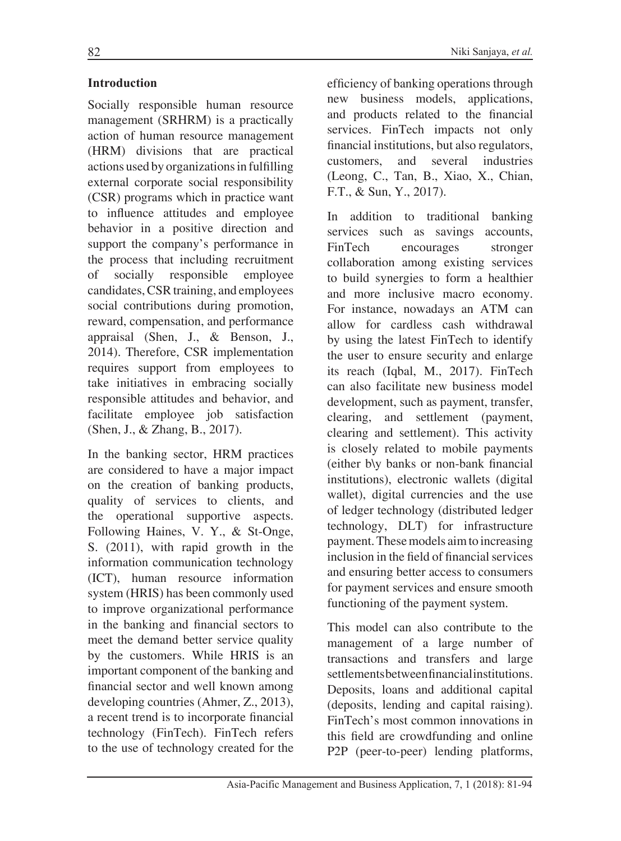# **Introduction**

Socially responsible human resource management (SRHRM) is a practically action of human resource management (HRM) divisions that are practical actions used by organizations in fulfilling external corporate social responsibility (CSR) programs which in practice want to influence attitudes and employee behavior in a positive direction and support the company's performance in the process that including recruitment of socially responsible employee candidates, CSR training, and employees social contributions during promotion, reward, compensation, and performance appraisal (Shen, J., & Benson, J., 2014). Therefore, CSR implementation requires support from employees to take initiatives in embracing socially responsible attitudes and behavior, and facilitate employee job satisfaction (Shen, J., & Zhang, B., 2017).

In the banking sector, HRM practices are considered to have a major impact on the creation of banking products, quality of services to clients, and the operational supportive aspects. Following Haines, V. Y., & St-Onge, S. (2011), with rapid growth in the information communication technology (ICT), human resource information system (HRIS) has been commonly used to improve organizational performance in the banking and financial sectors to meet the demand better service quality by the customers. While HRIS is an important component of the banking and financial sector and well known among developing countries (Ahmer, Z., 2013), a recent trend is to incorporate financial technology (FinTech). FinTech refers to the use of technology created for the efficiency of banking operations through new business models, applications, and products related to the financial services. FinTech impacts not only financial institutions, but also regulators, customers, and several industries (Leong, C., Tan, B., Xiao, X., Chian, F.T., & Sun, Y., 2017).

In addition to traditional banking services such as savings accounts, FinTech encourages stronger collaboration among existing services to build synergies to form a healthier and more inclusive macro economy. For instance, nowadays an ATM can allow for cardless cash withdrawal by using the latest FinTech to identify the user to ensure security and enlarge its reach (Iqbal, M., 2017). FinTech can also facilitate new business model development, such as payment, transfer, clearing, and settlement (payment, clearing and settlement). This activity is closely related to mobile payments (either b\y banks or non-bank financial institutions), electronic wallets (digital wallet), digital currencies and the use of ledger technology (distributed ledger technology, DLT) for infrastructure payment. These models aim to increasing inclusion in the field of financial services and ensuring better access to consumers for payment services and ensure smooth functioning of the payment system.

This model can also contribute to the management of a large number of transactions and transfers and large settlements between financial institutions. Deposits, loans and additional capital (deposits, lending and capital raising). FinTech's most common innovations in this field are crowdfunding and online P2P (peer-to-peer) lending platforms,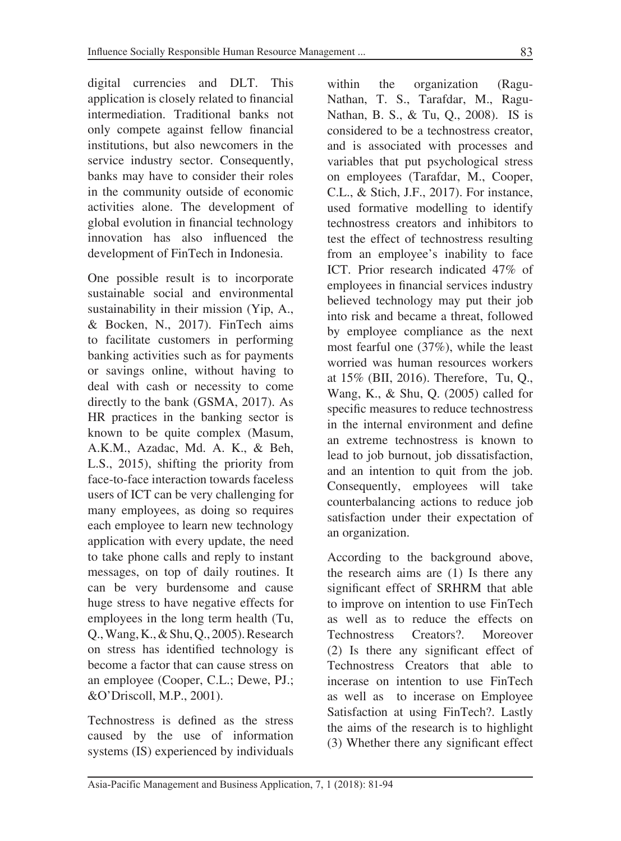digital currencies and DLT. This application is closely related to financial intermediation. Traditional banks not only compete against fellow financial institutions, but also newcomers in the service industry sector. Consequently, banks may have to consider their roles in the community outside of economic activities alone. The development of global evolution in financial technology innovation has also influenced the development of FinTech in Indonesia.

One possible result is to incorporate sustainable social and environmental sustainability in their mission (Yip, A., & Bocken, N., 2017). FinTech aims to facilitate customers in performing banking activities such as for payments or savings online, without having to deal with cash or necessity to come directly to the bank (GSMA, 2017). As HR practices in the banking sector is known to be quite complex (Masum, A.K.M., Azadac, Md. A. K., & Beh, L.S., 2015), shifting the priority from face-to-face interaction towards faceless users of ICT can be very challenging for many employees, as doing so requires each employee to learn new technology application with every update, the need to take phone calls and reply to instant messages, on top of daily routines. It can be very burdensome and cause huge stress to have negative effects for employees in the long term health (Tu, Q., Wang, K., & Shu, Q., 2005). Research on stress has identified technology is become a factor that can cause stress on an employee (Cooper, C.L.; Dewe, PJ.; &O'Driscoll, M.P., 2001).

Technostress is defined as the stress caused by the use of information systems (IS) experienced by individuals within the organization (Ragu-Nathan, T. S., Tarafdar, M., Ragu-Nathan, B. S., & Tu, Q., 2008). IS is considered to be a technostress creator, and is associated with processes and variables that put psychological stress on employees (Tarafdar, M., Cooper, C.L., & Stich, J.F., 2017). For instance, used formative modelling to identify technostress creators and inhibitors to test the effect of technostress resulting from an employee's inability to face ICT. Prior research indicated 47% of employees in financial services industry believed technology may put their job into risk and became a threat, followed by employee compliance as the next most fearful one (37%), while the least worried was human resources workers at 15% (BII, 2016). Therefore, Tu, Q., Wang, K., & Shu, Q. (2005) called for specific measures to reduce technostress in the internal environment and define an extreme technostress is known to lead to job burnout, job dissatisfaction, and an intention to quit from the job. Consequently, employees will take counterbalancing actions to reduce job satisfaction under their expectation of an organization.

According to the background above, the research aims are (1) Is there any significant effect of SRHRM that able to improve on intention to use FinTech as well as to reduce the effects on Technostress Creators?. Moreover (2) Is there any significant effect of Technostress Creators that able to incerase on intention to use FinTech as well as to incerase on Employee Satisfaction at using FinTech?. Lastly the aims of the research is to highlight (3) Whether there any significant effect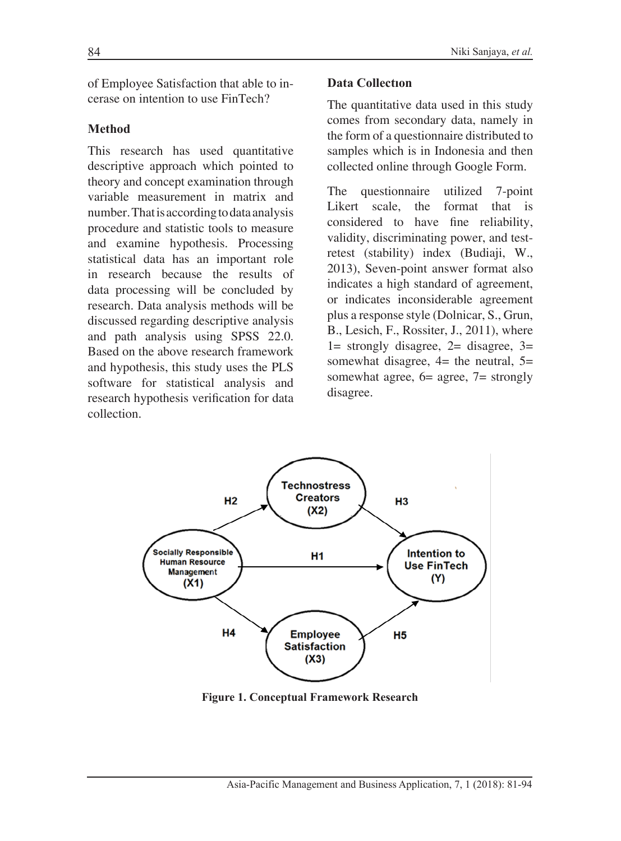of Employee Satisfaction that able to incerase on intention to use FinTech?

# **Method**

This research has used quantitative descriptive approach which pointed to theory and concept examination through variable measurement in matrix and number. That is according to data analysis procedure and statistic tools to measure and examine hypothesis. Processing statistical data has an important role in research because the results of data processing will be concluded by research. Data analysis methods will be discussed regarding descriptive analysis and path analysis using SPSS 22.0. Based on the above research framework and hypothesis, this study uses the PLS software for statistical analysis and research hypothesis verification for data collection.

### **Data Collectıon**

The quantitative data used in this study comes from secondary data, namely in the form of a questionnaire distributed to samples which is in Indonesia and then collected online through Google Form.

The questionnaire utilized 7-point Likert scale, the format that is considered to have fine reliability, validity, discriminating power, and testretest (stability) index (Budiaji, W., 2013), Seven-point answer format also indicates a high standard of agreement, or indicates inconsiderable agreement plus a response style (Dolnicar, S., Grun, B., Lesich, F., Rossiter, J., 2011), where  $1=$  strongly disagree,  $2=$  disagree,  $3=$ somewhat disagree,  $4=$  the neutral,  $5=$ somewhat agree, 6= agree, 7= strongly disagree.



**Figure 1. Conceptual Framework Research**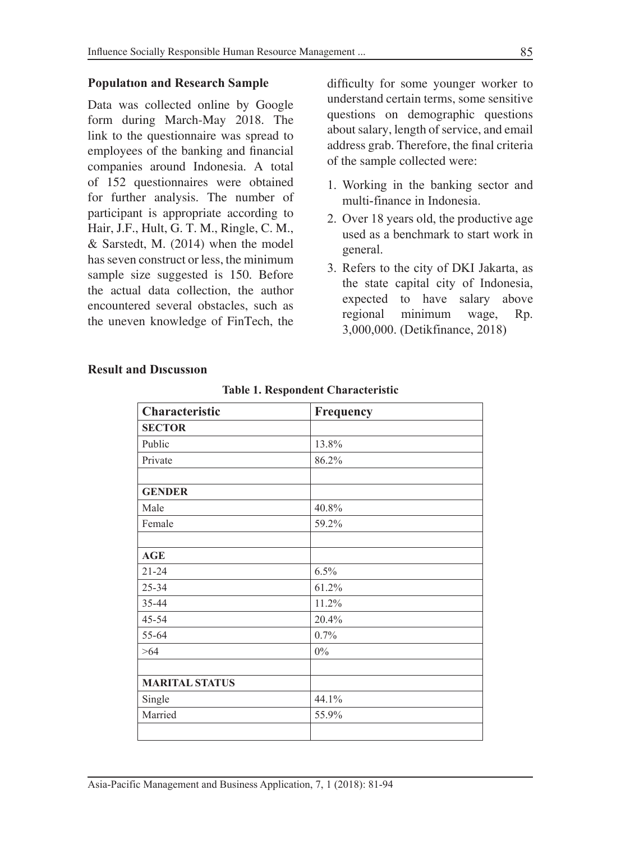#### **Populatıon and Research Sample**

Data was collected online by Google form during March-May 2018. The link to the questionnaire was spread to employees of the banking and financial companies around Indonesia. A total of 152 questionnaires were obtained for further analysis. The number of participant is appropriate according to Hair, J.F., Hult, G. T. M., Ringle, C. M., & Sarstedt, M. (2014) when the model has seven construct or less, the minimum sample size suggested is 150. Before the actual data collection, the author encountered several obstacles, such as the uneven knowledge of FinTech, the difficulty for some younger worker to understand certain terms, some sensitive questions on demographic questions about salary, length of service, and email address grab. Therefore, the final criteria of the sample collected were:

- 1. Working in the banking sector and multi-finance in Indonesia.
- 2. Over 18 years old, the productive age used as a benchmark to start work in general.
- 3. Refers to the city of DKI Jakarta, as the state capital city of Indonesia, expected to have salary above regional minimum wage, Rp. 3,000,000. (Detikfinance, 2018)

| Characteristic        | Frequency |  |
|-----------------------|-----------|--|
| <b>SECTOR</b>         |           |  |
| Public                | 13.8%     |  |
| Private               | 86.2%     |  |
| <b>GENDER</b>         |           |  |
| Male                  | 40.8%     |  |
| Female                | 59.2%     |  |
| <b>AGE</b>            |           |  |
| $21 - 24$             | 6.5%      |  |
| 25-34                 | 61.2%     |  |
| 35-44                 | 11.2%     |  |
| 45-54                 | 20.4%     |  |
| 55-64                 | 0.7%      |  |
| >64                   | $0\%$     |  |
|                       |           |  |
| <b>MARITAL STATUS</b> |           |  |
| Single                | 44.1%     |  |
| Married               | 55.9%     |  |
|                       |           |  |

#### **Result and Dıscussıon**

|  |  | <b>Table 1. Respondent Characteristic</b> |
|--|--|-------------------------------------------|
|--|--|-------------------------------------------|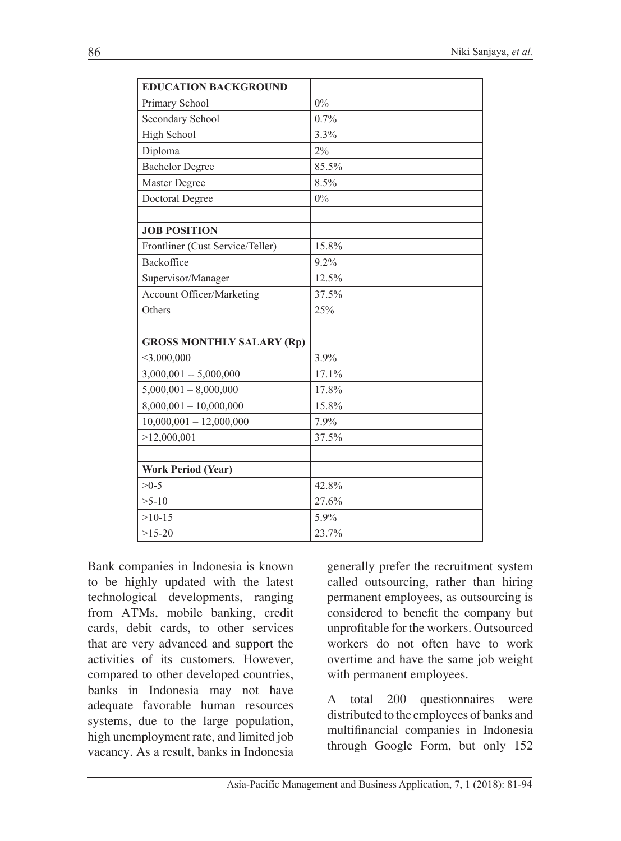| <b>EDUCATION BACKGROUND</b>      |       |
|----------------------------------|-------|
| Primary School                   | 0%    |
| Secondary School                 | 0.7%  |
| <b>High School</b>               | 3.3%  |
| Diploma                          | 2%    |
| <b>Bachelor Degree</b>           | 85.5% |
| Master Degree                    | 8.5%  |
| Doctoral Degree                  | 0%    |
|                                  |       |
| <b>JOB POSITION</b>              |       |
| Frontliner (Cust Service/Teller) | 15.8% |
| Backoffice                       | 9.2%  |
| Supervisor/Manager               | 12.5% |
| <b>Account Officer/Marketing</b> | 37.5% |
| Others                           | 25%   |
|                                  |       |
| <b>GROSS MONTHLY SALARY (Rp)</b> |       |
| $<$ 3.000,000                    | 3.9%  |
| $3,000,001 - 5,000,000$          | 17.1% |
| $5,000,001 - 8,000,000$          | 17.8% |
| $8,000,001 - 10,000,000$         | 15.8% |
| $10,000,001 - 12,000,000$        | 7.9%  |
| >12,000,001                      | 37.5% |
|                                  |       |
| <b>Work Period (Year)</b>        |       |
| $>0-5$                           | 42.8% |
| $>5-10$                          | 27.6% |
| $>10-15$                         | 5.9%  |
| $>15-20$                         | 23.7% |

Bank companies in Indonesia is known to be highly updated with the latest technological developments, ranging from ATMs, mobile banking, credit cards, debit cards, to other services that are very advanced and support the activities of its customers. However, compared to other developed countries, banks in Indonesia may not have adequate favorable human resources systems, due to the large population, high unemployment rate, and limited job vacancy. As a result, banks in Indonesia

generally prefer the recruitment system called outsourcing, rather than hiring permanent employees, as outsourcing is considered to benefit the company but unprofitable for the workers. Outsourced workers do not often have to work overtime and have the same job weight with permanent employees.

A total 200 questionnaires were distributed to the employees of banks and multifinancial companies in Indonesia through Google Form, but only 152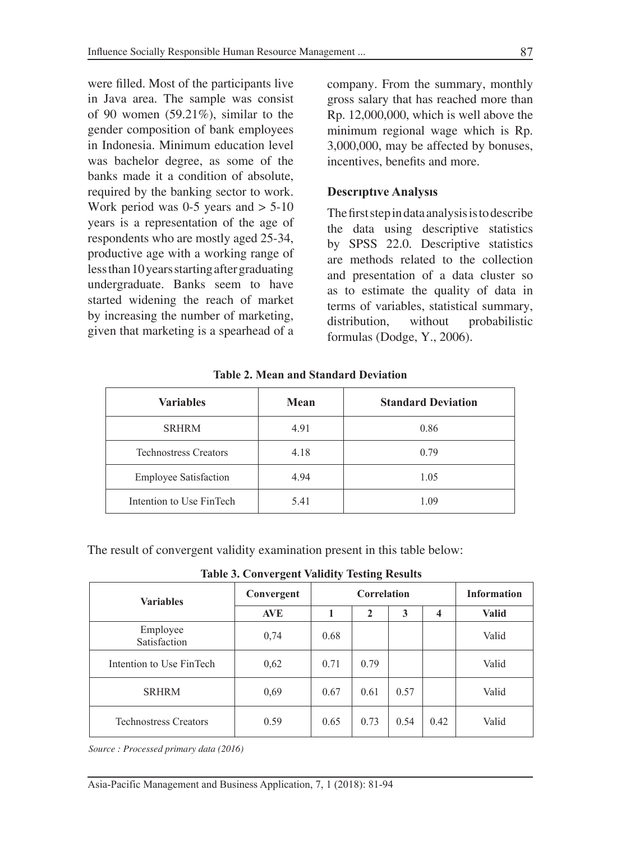were filled. Most of the participants live in Java area. The sample was consist of 90 women (59.21%), similar to the gender composition of bank employees in Indonesia. Minimum education level was bachelor degree, as some of the banks made it a condition of absolute, required by the banking sector to work. Work period was  $0-5$  years and  $> 5-10$ years is a representation of the age of respondents who are mostly aged 25-34, productive age with a working range of less than 10 years starting after graduating undergraduate. Banks seem to have started widening the reach of market by increasing the number of marketing, given that marketing is a spearhead of a company. From the summary, monthly gross salary that has reached more than Rp. 12,000,000, which is well above the minimum regional wage which is Rp. 3,000,000, may be affected by bonuses, incentives, benefits and more.

### **Descrıptıve Analysıs**

The first step in data analysis is to describe the data using descriptive statistics by SPSS 22.0. Descriptive statistics are methods related to the collection and presentation of a data cluster so as to estimate the quality of data in terms of variables, statistical summary, distribution, without probabilistic formulas (Dodge, Y., 2006).

| <b>Variables</b>             | Mean | <b>Standard Deviation</b> |
|------------------------------|------|---------------------------|
| <b>SRHRM</b>                 | 4.91 | 0.86                      |
| <b>Technostress Creators</b> | 4.18 | 0.79                      |
| <b>Employee Satisfaction</b> | 4.94 | 1.05                      |
| Intention to Use FinTech     | 5.41 | 1.09                      |

**Table 2. Mean and Standard Deviation**

The result of convergent validity examination present in this table below:

**Table 3. Convergent Validity Testing Results**

| <b>Variables</b>             | Convergent | Correlation |      |      |      | <b>Information</b> |
|------------------------------|------------|-------------|------|------|------|--------------------|
|                              | <b>AVE</b> |             | 2    | 3    | 4    | <b>Valid</b>       |
| Employee<br>Satisfaction     | 0,74       | 0.68        |      |      |      | Valid              |
| Intention to Use FinTech     | 0,62       | 0.71        | 0.79 |      |      | Valid              |
| <b>SRHRM</b>                 | 0,69       | 0.67        | 0.61 | 0.57 |      | Valid              |
| <b>Technostress Creators</b> | 0.59       | 0.65        | 0.73 | 0.54 | 0.42 | Valid              |

*Source : Processed primary data (2016)*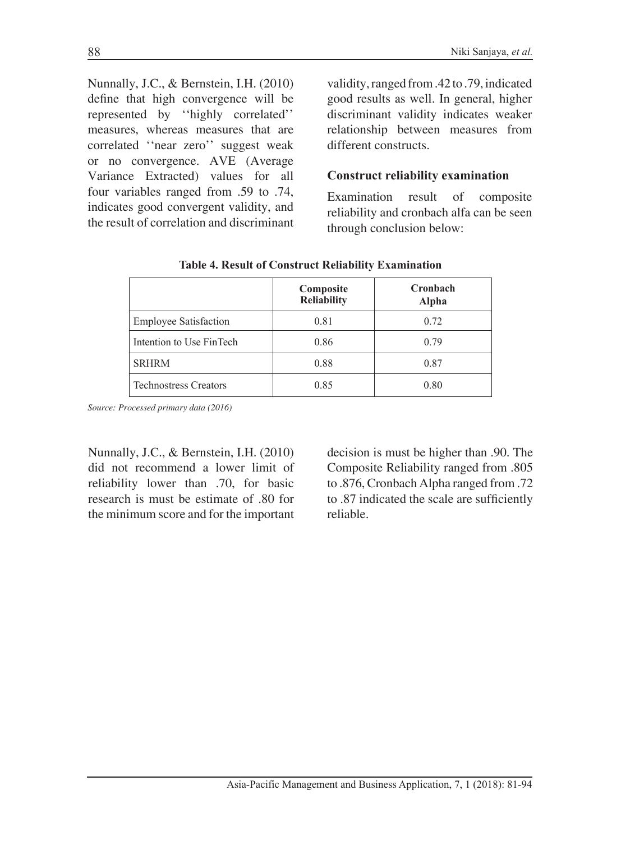Nunnally, J.C., & Bernstein, I.H. (2010) define that high convergence will be represented by ''highly correlated'' measures, whereas measures that are correlated ''near zero'' suggest weak or no convergence. AVE (Average Variance Extracted) values for all four variables ranged from .59 to .74, indicates good convergent validity, and the result of correlation and discriminant

validity, ranged from .42 to .79, indicated good results as well. In general, higher discriminant validity indicates weaker relationship between measures from different constructs.

#### **Construct reliability examination**

Examination result of composite reliability and cronbach alfa can be seen through conclusion below:

|                              | Composite<br><b>Reliability</b> | Cronbach<br>Alpha |
|------------------------------|---------------------------------|-------------------|
| <b>Employee Satisfaction</b> | 0.81                            | 0.72              |
| Intention to Use FinTech     | 0.86                            | 0.79              |
| <b>SRHRM</b>                 | 0.88                            | 0.87              |
| <b>Technostress Creators</b> | 0.85                            | 0.80              |

**Table 4. Result of Construct Reliability Examination**

*Source: Processed primary data (2016)*

Nunnally, J.C., & Bernstein, I.H. (2010) did not recommend a lower limit of reliability lower than .70, for basic research is must be estimate of .80 for the minimum score and for the important

decision is must be higher than .90. The Composite Reliability ranged from .805 to .876, Cronbach Alpha ranged from .72 to .87 indicated the scale are sufficiently reliable.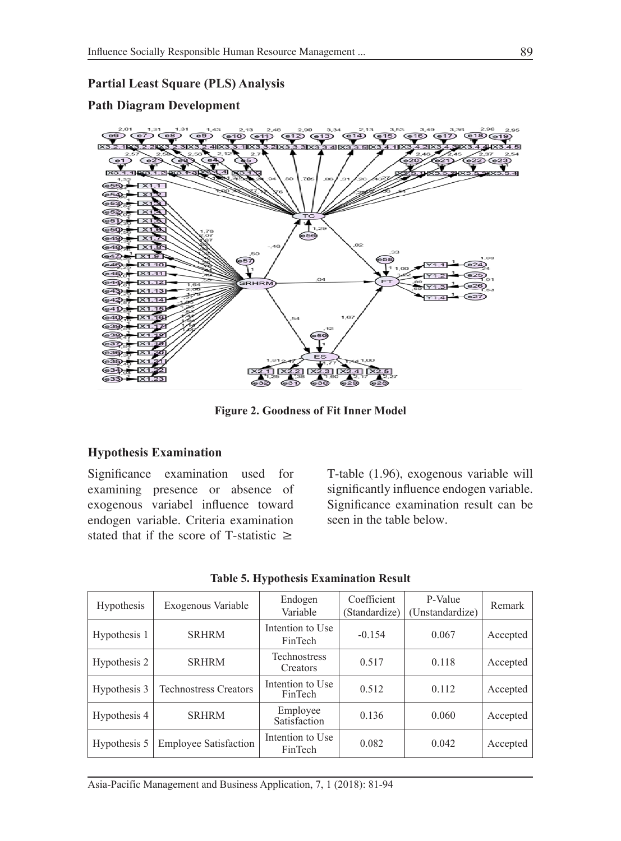### **Partial Least Square (PLS) Analysis**

### **Path Diagram Development**



**Figure 2. Goodness of Fit Inner Model**

### **Hypothesis Examination**

Significance examination used for examining presence or absence of exogenous variabel influence toward endogen variable. Criteria examination stated that if the score of T-statistic  $\geq$ 

T-table (1.96), exogenous variable will significantly influence endogen variable. Significance examination result can be seen in the table below.

| <b>Hypothesis</b> | Exogenous Variable           | Endogen<br>Variable                | Coefficient<br>(Standardize) | P-Value<br>(Unstandardize) | Remark   |
|-------------------|------------------------------|------------------------------------|------------------------------|----------------------------|----------|
| Hypothesis 1      | <b>SRHRM</b>                 | Intention to Use<br>FinTech        | $-0.154$                     | 0.067                      | Accepted |
| Hypothesis 2      | <b>SRHRM</b>                 | <b>Technostress</b><br>Creators    | 0.517                        | 0.118                      | Accepted |
| Hypothesis 3      | <b>Technostress Creators</b> | Intention to Use<br>FinTech        | 0.512                        | 0.112                      | Accepted |
| Hypothesis 4      | <b>SRHRM</b>                 | Employee<br>Satisfaction           | 0.136                        | 0.060                      | Accepted |
| Hypothesis 5      | <b>Employee Satisfaction</b> | Intention to Use<br><b>FinTech</b> | 0.082                        | 0.042                      | Accepted |

**Table 5. Hypothesis Examination Result**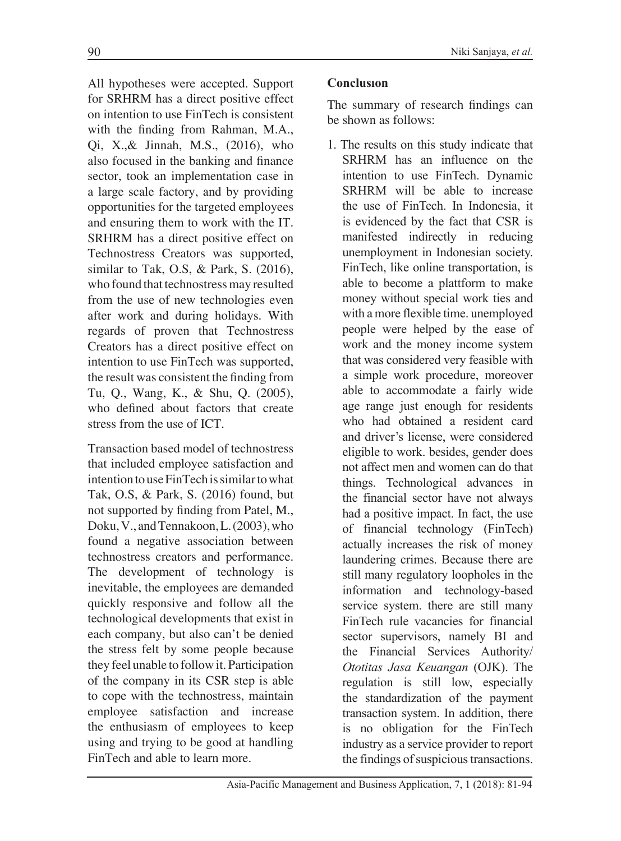All hypotheses were accepted. Support for SRHRM has a direct positive effect on intention to use FinTech is consistent with the finding from Rahman, M.A., Qi, X.,& Jinnah, M.S., (2016), who also focused in the banking and finance sector, took an implementation case in a large scale factory, and by providing opportunities for the targeted employees and ensuring them to work with the IT. SRHRM has a direct positive effect on Technostress Creators was supported, similar to Tak, O.S, & Park, S. (2016), who found that technostress may resulted from the use of new technologies even after work and during holidays. With regards of proven that Technostress Creators has a direct positive effect on intention to use FinTech was supported, the result was consistent the finding from Tu, Q., Wang, K., & Shu, Q. (2005), who defined about factors that create stress from the use of ICT.

Transaction based model of technostress that included employee satisfaction and intention to use FinTech is similar to what Tak, O.S, & Park, S. (2016) found, but not supported by finding from Patel, M., Doku, V., and Tennakoon, L. (2003), who found a negative association between technostress creators and performance. The development of technology is inevitable, the employees are demanded quickly responsive and follow all the technological developments that exist in each company, but also can't be denied the stress felt by some people because they feel unable to follow it. Participation of the company in its CSR step is able to cope with the technostress, maintain employee satisfaction and increase the enthusiasm of employees to keep using and trying to be good at handling FinTech and able to learn more.

# **Conclusıon**

The summary of research findings can be shown as follows:

1. The results on this study indicate that SRHRM has an influence on the intention to use FinTech. Dynamic SRHRM will be able to increase the use of FinTech. In Indonesia, it is evidenced by the fact that CSR is manifested indirectly in reducing unemployment in Indonesian society. FinTech, like online transportation, is able to become a plattform to make money without special work ties and with a more flexible time. unemployed people were helped by the ease of work and the money income system that was considered very feasible with a simple work procedure, moreover able to accommodate a fairly wide age range just enough for residents who had obtained a resident card and driver's license, were considered eligible to work. besides, gender does not affect men and women can do that things. Technological advances in the financial sector have not always had a positive impact. In fact, the use of financial technology (FinTech) actually increases the risk of money laundering crimes. Because there are still many regulatory loopholes in the information and technology-based service system. there are still many FinTech rule vacancies for financial sector supervisors, namely BI and the Financial Services Authority/ *Ototitas Jasa Keuangan* (OJK). The regulation is still low, especially the standardization of the payment transaction system. In addition, there is no obligation for the FinTech industry as a service provider to report the findings of suspicious transactions.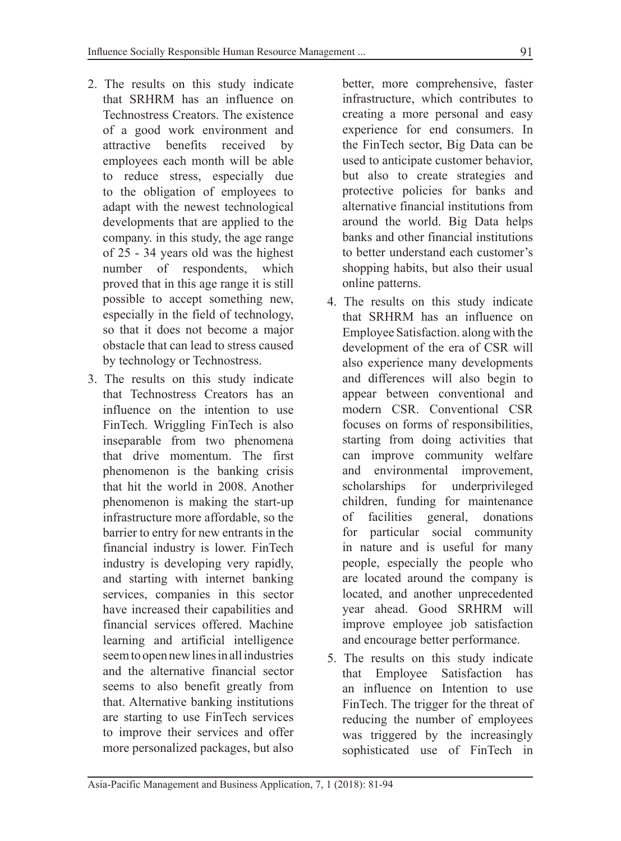- 2. The results on this study indicate that SRHRM has an influence on Technostress Creators. The existence of a good work environment and attractive benefits received by employees each month will be able to reduce stress, especially due to the obligation of employees to adapt with the newest technological developments that are applied to the company. in this study, the age range of 25 - 34 years old was the highest number of respondents, which proved that in this age range it is still possible to accept something new, especially in the field of technology, so that it does not become a major obstacle that can lead to stress caused by technology or Technostress.
- 3. The results on this study indicate that Technostress Creators has an influence on the intention to use FinTech. Wriggling FinTech is also inseparable from two phenomena that drive momentum. The first phenomenon is the banking crisis that hit the world in 2008. Another phenomenon is making the start-up infrastructure more affordable, so the barrier to entry for new entrants in the financial industry is lower. FinTech industry is developing very rapidly, and starting with internet banking services, companies in this sector have increased their capabilities and financial services offered. Machine learning and artificial intelligence seem to open new lines in all industries and the alternative financial sector seems to also benefit greatly from that. Alternative banking institutions are starting to use FinTech services to improve their services and offer more personalized packages, but also

better, more comprehensive, faster infrastructure, which contributes to creating a more personal and easy experience for end consumers. In the FinTech sector, Big Data can be used to anticipate customer behavior, but also to create strategies and protective policies for banks and alternative financial institutions from around the world. Big Data helps banks and other financial institutions to better understand each customer's shopping habits, but also their usual online patterns.

- 4. The results on this study indicate that SRHRM has an influence on Employee Satisfaction. along with the development of the era of CSR will also experience many developments and differences will also begin to appear between conventional and modern CSR. Conventional CSR focuses on forms of responsibilities, starting from doing activities that can improve community welfare and environmental improvement, scholarships for underprivileged children, funding for maintenance of facilities general, donations for particular social community in nature and is useful for many people, especially the people who are located around the company is located, and another unprecedented year ahead. Good SRHRM will improve employee job satisfaction and encourage better performance.
- 5. The results on this study indicate that Employee Satisfaction has an influence on Intention to use FinTech. The trigger for the threat of reducing the number of employees was triggered by the increasingly sophisticated use of FinTech in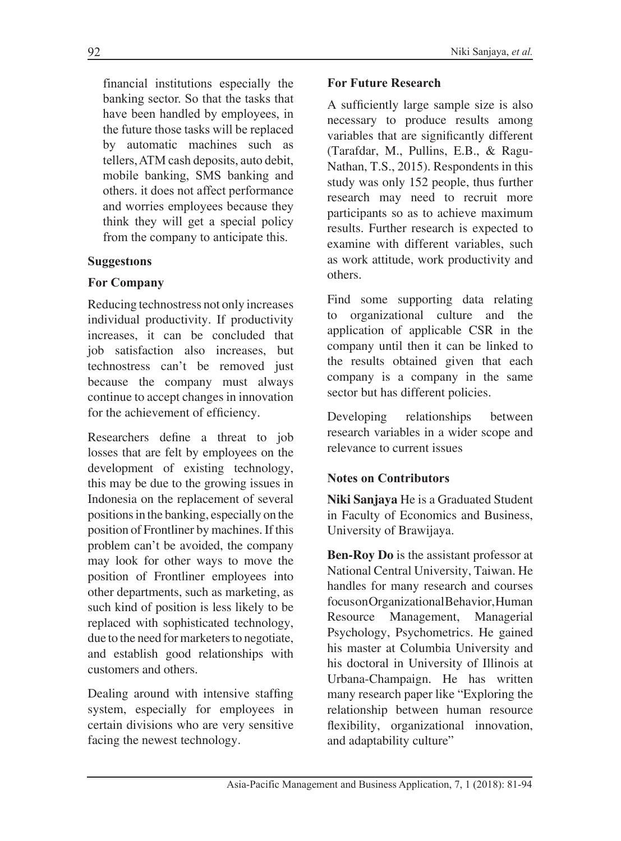financial institutions especially the banking sector. So that the tasks that have been handled by employees, in the future those tasks will be replaced by automatic machines such as tellers, ATM cash deposits, auto debit, mobile banking, SMS banking and others. it does not affect performance and worries employees because they think they will get a special policy from the company to anticipate this.

## **Suggestıons**

# **For Company**

Reducing technostress not only increases individual productivity. If productivity increases, it can be concluded that job satisfaction also increases, but technostress can't be removed just because the company must always continue to accept changes in innovation for the achievement of efficiency.

Researchers define a threat to job losses that are felt by employees on the development of existing technology, this may be due to the growing issues in Indonesia on the replacement of several positions in the banking, especially on the position of Frontliner by machines. If this problem can't be avoided, the company may look for other ways to move the position of Frontliner employees into other departments, such as marketing, as such kind of position is less likely to be replaced with sophisticated technology, due to the need for marketers to negotiate, and establish good relationships with customers and others.

Dealing around with intensive staffing system, especially for employees in certain divisions who are very sensitive facing the newest technology.

### **For Future Research**

A sufficiently large sample size is also necessary to produce results among variables that are significantly different (Tarafdar, M., Pullins, E.B., & Ragu-Nathan, T.S., 2015). Respondents in this study was only 152 people, thus further research may need to recruit more participants so as to achieve maximum results. Further research is expected to examine with different variables, such as work attitude, work productivity and others.

Find some supporting data relating to organizational culture and the application of applicable CSR in the company until then it can be linked to the results obtained given that each company is a company in the same sector but has different policies.

Developing relationships between research variables in a wider scope and relevance to current issues

## **Notes on Contributors**

**Niki Sanjaya** He is a Graduated Student in Faculty of Economics and Business, University of Brawijaya.

**Ben-Roy Do** is the assistant professor at National Central University, Taiwan. He handles for many research and courses focus on Organizational Behavior, Human Resource Management, Managerial Psychology, Psychometrics. He gained his master at Columbia University and his doctoral in University of Illinois at Urbana-Champaign. He has written many research paper like "Exploring the relationship between human resource flexibility, organizational innovation, and adaptability culture"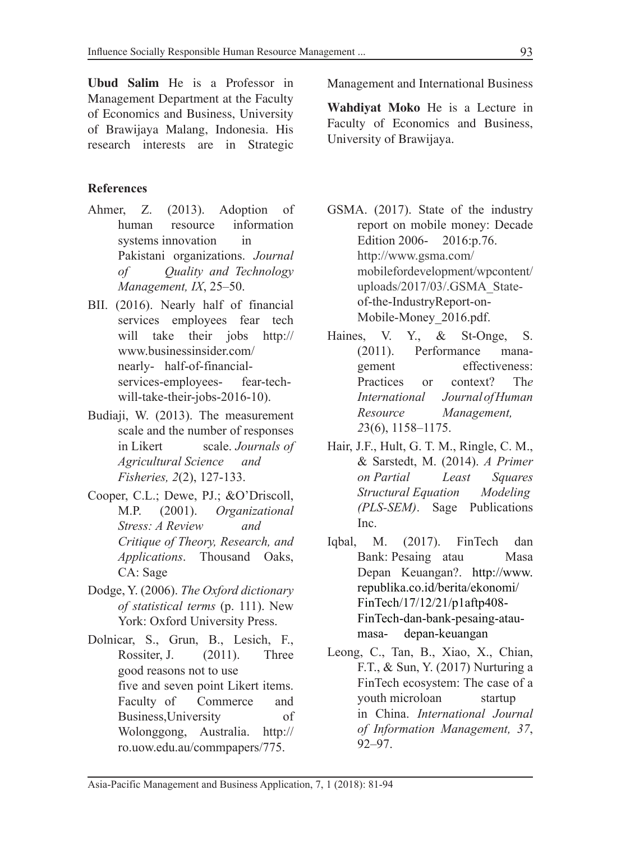**Ubud Salim** He is a Professor in Management Department at the Faculty of Economics and Business, University of Brawijaya Malang, Indonesia. His research interests are in Strategic

## **References**

- Ahmer, Z. (2013). Adoption of human resource information systems innovation in Pakistani organizations. *Journal of Quality and Technology Management, IX*, 25–50.
- BII. (2016). Nearly half of financial services employees fear tech will take their jobs http:// www.businessinsider.com/ nearly- half-of-financialservices-employees- fear-techwill-take-their-jobs-2016-10).
- Budiaji, W. (2013). The measurement scale and the number of responses in Likert scale. *Journals of Agricultural Science and Fisheries, 2*(2), 127-133.
- Cooper, C.L.; Dewe, PJ.; &O'Driscoll, M.P. (2001). *Organizational Stress: A Review and Critique of Theory, Research, and Applications*. Thousand Oaks, CA: Sage
- Dodge, Y. (2006). *The Oxford dictionary of statistical terms* (p. 111). New York: Oxford University Press.
- Dolnicar, S., Grun, B., Lesich, F., Rossiter, J. (2011). Three good reasons not to use five and seven point Likert items. Faculty of Commerce and Business,University of Wolonggong, Australia. http:// ro.uow.edu.au/commpapers/775.

Management and International Business

**Wahdiyat Moko** He is a Lecture in Faculty of Economics and Business, University of Brawijaya.

- GSMA. (2017). State of the industry report on mobile money: Decade Edition 2006- 2016:p.76. http://www.gsma.com/ mobilefordevelopment/wpcontent/ uploads/2017/03/.GSMA\_Stateof-the-IndustryReport-on-Mobile-Money\_2016.pdf.
- Haines, V. Y., & St-Onge, S. (2011). Performance management effectiveness: Practices or context? Th*e International Journal of Human Resource Management, 2*3(6), 1158–1175.
- Hair, J.F., Hult, G. T. M., Ringle, C. M., & Sarstedt, M. (2014). *A Primer on Partial Least Squares Structural Equation Modeling (PLS-SEM)*. Sage Publications Inc.
- Iqbal, M. (2017). FinTech dan Bank: Pesaing atau Masa Depan Keuangan?. http://www. republika.co.id/berita/ekonomi/ FinTech/17/12/21/p1aftp408- FinTech-dan-bank-pesaing-ataumasa- depan-keuangan
- Leong, C., Tan, B., Xiao, X., Chian, F.T., & Sun, Y. (2017) Nurturing a FinTech ecosystem: The case of a youth microloan startup in China. *International Journal of Information Management, 37*, 92–97.